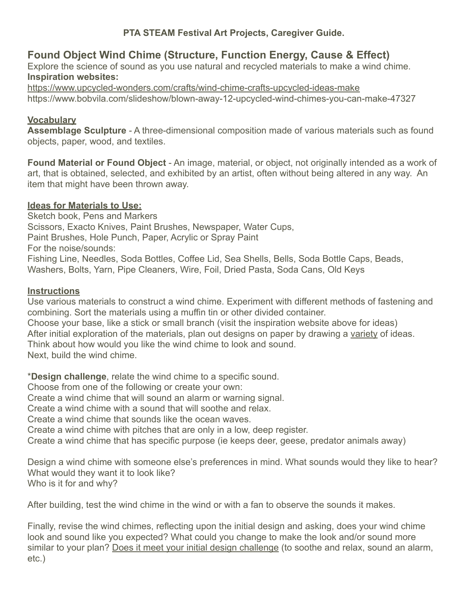### **PTA STEAM Festival Art Projects, Caregiver Guide.**

# **Found Object Wind Chime (Structure, Function Energy, Cause & Effect)**

Explore the science of sound as you use natural and recycled materials to make a wind chime. **Inspiration websites:**

<https://www.upcycled-wonders.com/crafts/wind-chime-crafts-upcycled-ideas-make> https://www.bobvila.com/slideshow/blown-away-12-upcycled-wind-chimes-you-can-make-47327

### **Vocabulary**

**Assemblage Sculpture** - A three-dimensional composition made of various materials such as found objects, paper, wood, and textiles.

**Found Material or Found Object** - An image, material, or object, not originally intended as a work of art, that is obtained, selected, and exhibited by an artist, often without being altered in any way. An item that might have been thrown away.

### **Ideas for Materials to Use:**

Sketch book, Pens and Markers Scissors, Exacto Knives, Paint Brushes, Newspaper, Water Cups, Paint Brushes, Hole Punch, Paper, Acrylic or Spray Paint For the noise/sounds: Fishing Line, Needles, Soda Bottles, Coffee Lid, Sea Shells, Bells, Soda Bottle Caps, Beads, Washers, Bolts, Yarn, Pipe Cleaners, Wire, Foil, Dried Pasta, Soda Cans, Old Keys

### **Instructions**

Use various materials to construct a wind chime. Experiment with different methods of fastening and combining. Sort the materials using a muffin tin or other divided container. Choose your base, like a stick or small branch (visit the inspiration website above for ideas) After initial exploration of the materials, plan out designs on paper by drawing a variety of ideas. Think about how would you like the wind chime to look and sound. Next, build the wind chime.

\***Design challenge**, relate the wind chime to a specific sound.

Choose from one of the following or create your own:

Create a wind chime that will sound an alarm or warning signal.

Create a wind chime with a sound that will soothe and relax.

Create a wind chime that sounds like the ocean waves.

Create a wind chime with pitches that are only in a low, deep register.

Create a wind chime that has specific purpose (ie keeps deer, geese, predator animals away)

Design a wind chime with someone else's preferences in mind. What sounds would they like to hear? What would they want it to look like? Who is it for and why?

After building, test the wind chime in the wind or with a fan to observe the sounds it makes.

Finally, revise the wind chimes, reflecting upon the initial design and asking, does your wind chime look and sound like you expected? What could you change to make the look and/or sound more similar to your plan? Does it meet your initial design challenge (to soothe and relax, sound an alarm, etc.)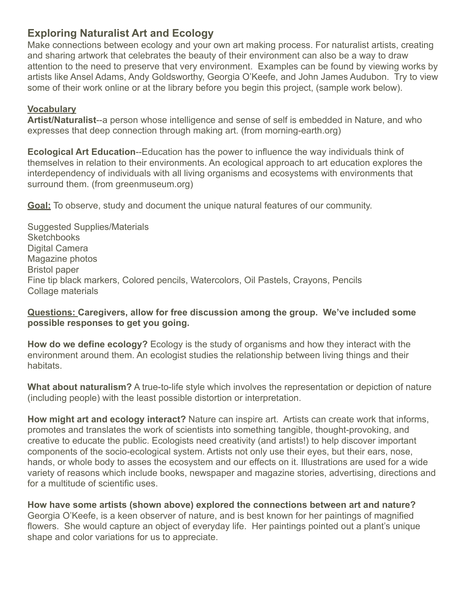## **Exploring Naturalist Art and Ecology**

Make connections between ecology and your own art making process. For naturalist artists, creating and sharing artwork that celebrates the beauty of their environment can also be a way to draw attention to the need to preserve that very environment. Examples can be found by viewing works by artists like Ansel Adams, Andy Goldsworthy, Georgia O'Keefe, and John James Audubon. Try to view some of their work online or at the library before you begin this project, (sample work below).

### **Vocabulary**

**Artist/Naturalist**--a person whose intelligence and sense of self is embedded in Nature, and who expresses that deep connection through making art. (from morning-earth.org)

**Ecological Art Education**--Education has the power to influence the way individuals think of themselves in relation to their environments. An ecological approach to art education explores the interdependency of individuals with all living organisms and ecosystems with environments that surround them. (from greenmuseum.org)

**Goal:** To observe, study and document the unique natural features of our community.

Suggested Supplies/Materials **Sketchbooks** Digital Camera Magazine photos Bristol paper Fine tip black markers, Colored pencils, Watercolors, Oil Pastels, Crayons, Pencils Collage materials

### **Questions: Caregivers, allow for free discussion among the group. We've included some possible responses to get you going.**

**How do we define ecology?** Ecology is the study of organisms and how they interact with the environment around them. An ecologist studies the relationship between living things and their habitats.

**What about naturalism?** A true-to-life style which involves the representation or depiction of nature (including people) with the least possible distortion or interpretation.

**How might art and ecology interact?** Nature can inspire art. Artists can create work that informs, promotes and translates the work of scientists into something tangible, thought-provoking, and creative to educate the public. Ecologists need creativity (and artists!) to help discover important components of the socio-ecological system. Artists not only use their eyes, but their ears, nose, hands, or whole body to asses the ecosystem and our effects on it. Illustrations are used for a wide variety of reasons which include books, newspaper and magazine stories, advertising, directions and for a multitude of scientific uses.

**How have some artists (shown above) explored the connections between art and nature?** Georgia O'Keefe, is a keen observer of nature, and is best known for her paintings of magnified flowers. She would capture an object of everyday life. Her paintings pointed out a plant's unique shape and color variations for us to appreciate.